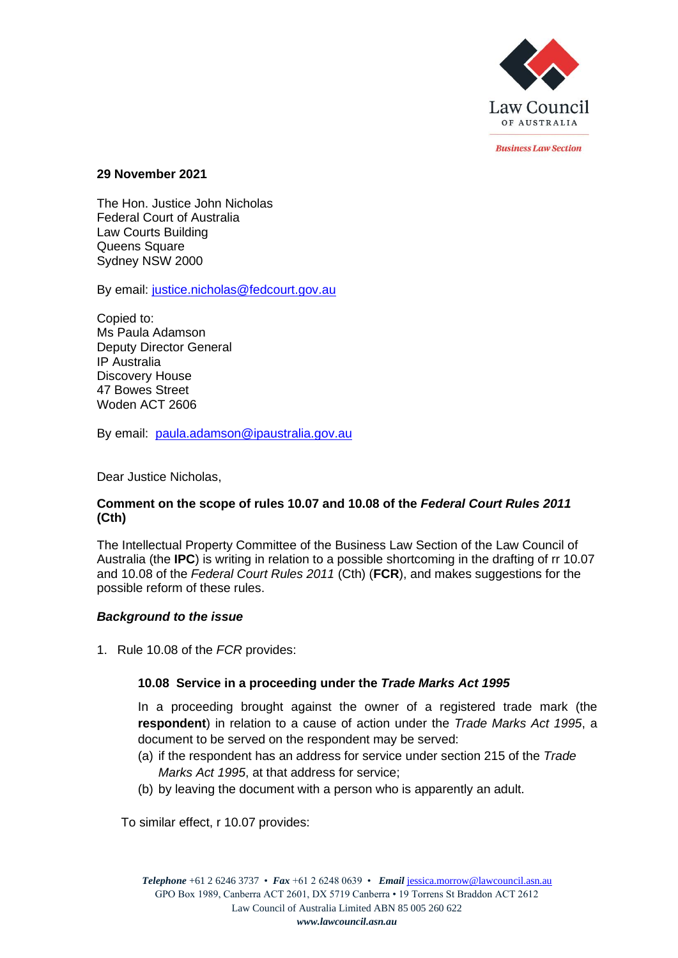

*<u>Rusiness Law Section</u>* 

#### **29 November 2021**

The Hon. Justice John Nicholas Federal Court of Australia Law Courts Building Queens Square Sydney NSW 2000

By email: [justice.nicholas@fedcourt.gov.au](mailto:justice.nicholas@fedcourt.gov.au)

Copied to: Ms Paula Adamson Deputy Director General IP Australia Discovery House 47 Bowes Street Woden ACT 2606

By email: [paula.adamson@ipaustralia.gov.au](mailto:paula.adamson@ipaustralia.gov.au)

Dear Justice Nicholas,

#### **Comment on the scope of rules 10.07 and 10.08 of the** *Federal Court Rules 2011* **(Cth)**

The Intellectual Property Committee of the Business Law Section of the Law Council of Australia (the **IPC**) is writing in relation to a possible shortcoming in the drafting of rr 10.07 and 10.08 of the *Federal Court Rules 2011* (Cth) (**FCR**), and makes suggestions for the possible reform of these rules.

#### *Background to the issue*

1. Rule 10.08 of the *FCR* provides:

### **10.08 Service in a proceeding under the** *Trade Marks Act 1995*

In a proceeding brought against the owner of a registered trade mark (the **respondent**) in relation to a cause of action under the *Trade Marks Act 1995*, a document to be served on the respondent may be served:

- (a) if the respondent has an address for service under section 215 of the *Trade Marks Act 1995*, at that address for service;
- (b) by leaving the document with a person who is apparently an adult.

To similar effect, r 10.07 provides: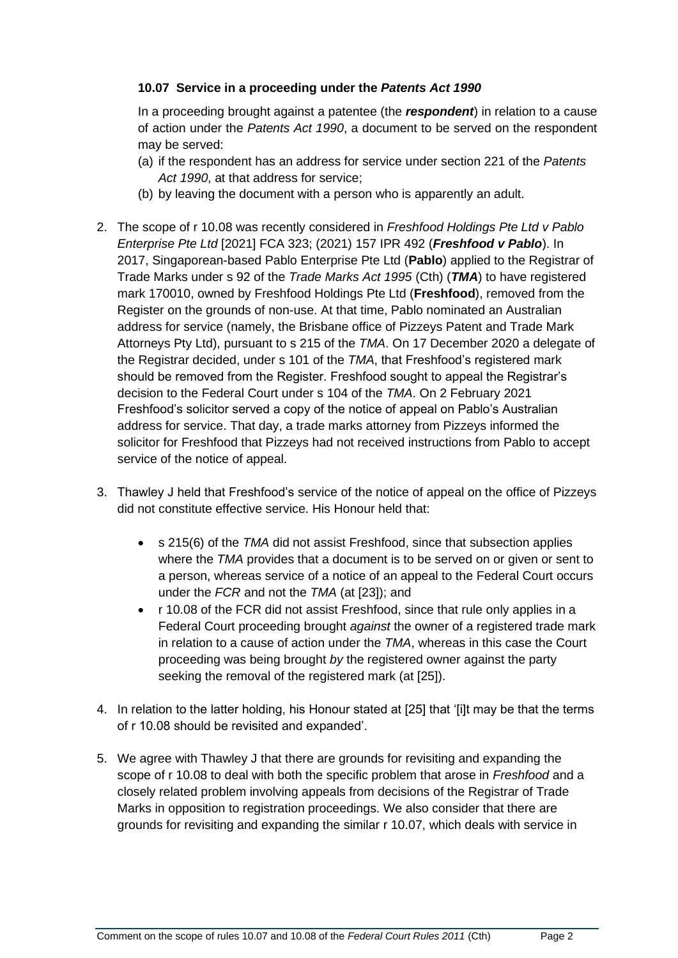### **10.07 Service in a proceeding under the** *Patents Act 1990*

In a proceeding brought against a patentee (the *respondent*) in relation to a cause of action under the *Patents Act 1990*, a document to be served on the respondent may be served:

- (a) if the respondent has an address for service under section 221 of the *Patents Act 1990*, at that address for service;
- (b) by leaving the document with a person who is apparently an adult.
- 2. The scope of r 10.08 was recently considered in *Freshfood Holdings Pte Ltd v Pablo Enterprise Pte Ltd* [2021] FCA 323; (2021) 157 IPR 492 (*Freshfood v Pablo*). In 2017, Singaporean-based Pablo Enterprise Pte Ltd (**Pablo**) applied to the Registrar of Trade Marks under s 92 of the *Trade Marks Act 1995* (Cth) (*TMA*) to have registered mark 170010, owned by Freshfood Holdings Pte Ltd (**Freshfood**), removed from the Register on the grounds of non-use. At that time, Pablo nominated an Australian address for service (namely, the Brisbane office of Pizzeys Patent and Trade Mark Attorneys Pty Ltd), pursuant to s 215 of the *TMA*. On 17 December 2020 a delegate of the Registrar decided, under s 101 of the *TMA*, that Freshfood's registered mark should be removed from the Register. Freshfood sought to appeal the Registrar's decision to the Federal Court under s 104 of the *TMA*. On 2 February 2021 Freshfood's solicitor served a copy of the notice of appeal on Pablo's Australian address for service. That day, a trade marks attorney from Pizzeys informed the solicitor for Freshfood that Pizzeys had not received instructions from Pablo to accept service of the notice of appeal.
- 3. Thawley J held that Freshfood's service of the notice of appeal on the office of Pizzeys did not constitute effective service. His Honour held that:
	- s 215(6) of the *TMA* did not assist Freshfood, since that subsection applies where the *TMA* provides that a document is to be served on or given or sent to a person, whereas service of a notice of an appeal to the Federal Court occurs under the *FCR* and not the *TMA* (at [23]); and
	- r 10.08 of the FCR did not assist Freshfood, since that rule only applies in a Federal Court proceeding brought *against* the owner of a registered trade mark in relation to a cause of action under the *TMA*, whereas in this case the Court proceeding was being brought *by* the registered owner against the party seeking the removal of the registered mark (at [25]).
- 4. In relation to the latter holding, his Honour stated at [25] that '[i]t may be that the terms of r 10.08 should be revisited and expanded'.
- 5. We agree with Thawley J that there are grounds for revisiting and expanding the scope of r 10.08 to deal with both the specific problem that arose in *Freshfood* and a closely related problem involving appeals from decisions of the Registrar of Trade Marks in opposition to registration proceedings. We also consider that there are grounds for revisiting and expanding the similar r 10.07, which deals with service in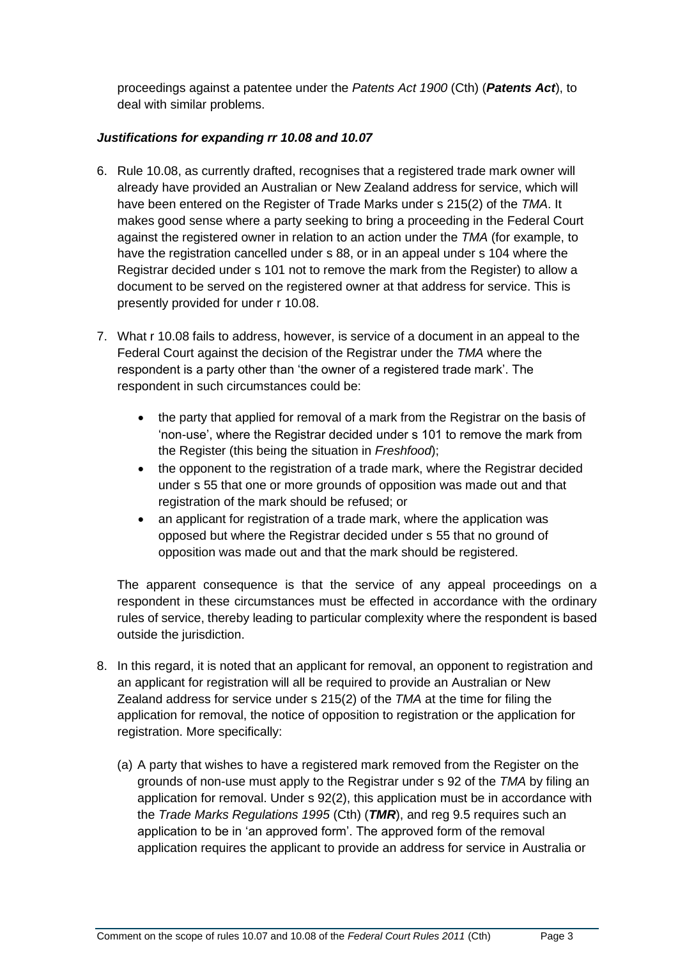proceedings against a patentee under the *Patents Act 1900* (Cth) (*Patents Act*), to deal with similar problems.

### *Justifications for expanding rr 10.08 and 10.07*

- 6. Rule 10.08, as currently drafted, recognises that a registered trade mark owner will already have provided an Australian or New Zealand address for service, which will have been entered on the Register of Trade Marks under s 215(2) of the *TMA*. It makes good sense where a party seeking to bring a proceeding in the Federal Court against the registered owner in relation to an action under the *TMA* (for example, to have the registration cancelled under s 88, or in an appeal under s 104 where the Registrar decided under s 101 not to remove the mark from the Register) to allow a document to be served on the registered owner at that address for service. This is presently provided for under r 10.08.
- 7. What r 10.08 fails to address, however, is service of a document in an appeal to the Federal Court against the decision of the Registrar under the *TMA* where the respondent is a party other than 'the owner of a registered trade mark'. The respondent in such circumstances could be:
	- the party that applied for removal of a mark from the Registrar on the basis of 'non-use', where the Registrar decided under s 101 to remove the mark from the Register (this being the situation in *Freshfood*);
	- the opponent to the registration of a trade mark, where the Registrar decided under s 55 that one or more grounds of opposition was made out and that registration of the mark should be refused; or
	- an applicant for registration of a trade mark, where the application was opposed but where the Registrar decided under s 55 that no ground of opposition was made out and that the mark should be registered.

The apparent consequence is that the service of any appeal proceedings on a respondent in these circumstances must be effected in accordance with the ordinary rules of service, thereby leading to particular complexity where the respondent is based outside the jurisdiction.

- 8. In this regard, it is noted that an applicant for removal, an opponent to registration and an applicant for registration will all be required to provide an Australian or New Zealand address for service under s 215(2) of the *TMA* at the time for filing the application for removal, the notice of opposition to registration or the application for registration. More specifically:
	- (a) A party that wishes to have a registered mark removed from the Register on the grounds of non-use must apply to the Registrar under s 92 of the *TMA* by filing an application for removal. Under s 92(2), this application must be in accordance with the *Trade Marks Regulations 1995* (Cth) (*TMR*), and reg 9.5 requires such an application to be in 'an approved form'. The approved form of the removal application requires the applicant to provide an address for service in Australia or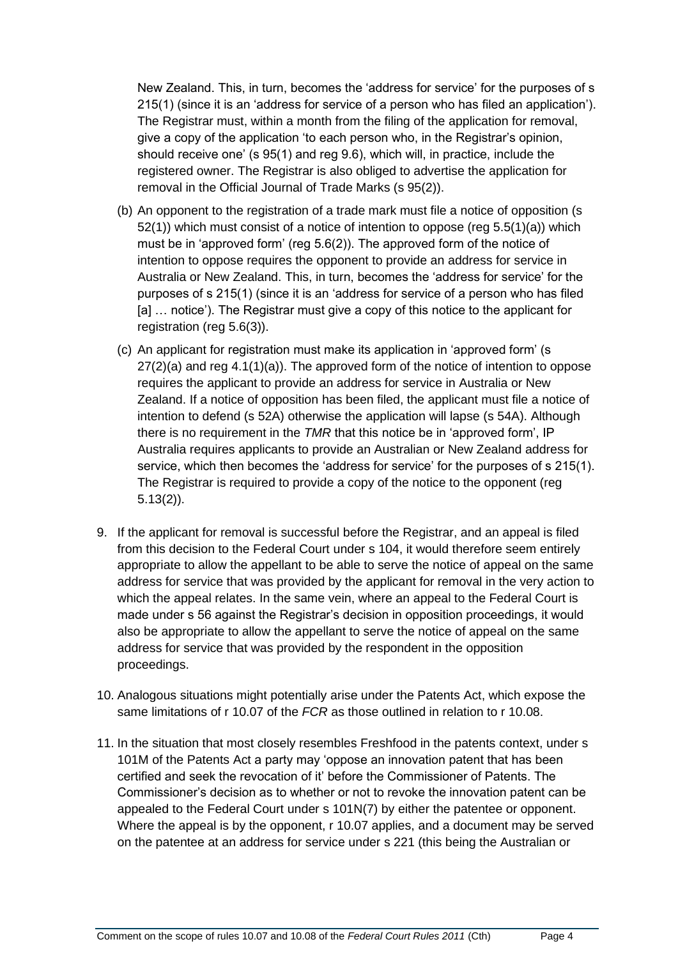New Zealand. This, in turn, becomes the 'address for service' for the purposes of s 215(1) (since it is an 'address for service of a person who has filed an application'). The Registrar must, within a month from the filing of the application for removal, give a copy of the application 'to each person who, in the Registrar's opinion, should receive one' (s 95(1) and reg 9.6), which will, in practice, include the registered owner. The Registrar is also obliged to advertise the application for removal in the Official Journal of Trade Marks (s 95(2)).

- (b) An opponent to the registration of a trade mark must file a notice of opposition (s 52(1)) which must consist of a notice of intention to oppose (reg 5.5(1)(a)) which must be in 'approved form' (reg 5.6(2)). The approved form of the notice of intention to oppose requires the opponent to provide an address for service in Australia or New Zealand. This, in turn, becomes the 'address for service' for the purposes of s 215(1) (since it is an 'address for service of a person who has filed [a] … notice'). The Registrar must give a copy of this notice to the applicant for registration (reg 5.6(3)).
- (c) An applicant for registration must make its application in 'approved form' (s  $27(2)(a)$  and reg  $4.1(1)(a)$ ). The approved form of the notice of intention to oppose requires the applicant to provide an address for service in Australia or New Zealand. If a notice of opposition has been filed, the applicant must file a notice of intention to defend (s 52A) otherwise the application will lapse (s 54A). Although there is no requirement in the *TMR* that this notice be in 'approved form', IP Australia requires applicants to provide an Australian or New Zealand address for service, which then becomes the 'address for service' for the purposes of s 215(1). The Registrar is required to provide a copy of the notice to the opponent (reg 5.13(2)).
- 9. If the applicant for removal is successful before the Registrar, and an appeal is filed from this decision to the Federal Court under s 104, it would therefore seem entirely appropriate to allow the appellant to be able to serve the notice of appeal on the same address for service that was provided by the applicant for removal in the very action to which the appeal relates. In the same vein, where an appeal to the Federal Court is made under s 56 against the Registrar's decision in opposition proceedings, it would also be appropriate to allow the appellant to serve the notice of appeal on the same address for service that was provided by the respondent in the opposition proceedings.
- 10. Analogous situations might potentially arise under the Patents Act, which expose the same limitations of r 10.07 of the *FCR* as those outlined in relation to r 10.08.
- 11. In the situation that most closely resembles Freshfood in the patents context, under s 101M of the Patents Act a party may 'oppose an innovation patent that has been certified and seek the revocation of it' before the Commissioner of Patents. The Commissioner's decision as to whether or not to revoke the innovation patent can be appealed to the Federal Court under s 101N(7) by either the patentee or opponent. Where the appeal is by the opponent, r 10.07 applies, and a document may be served on the patentee at an address for service under s 221 (this being the Australian or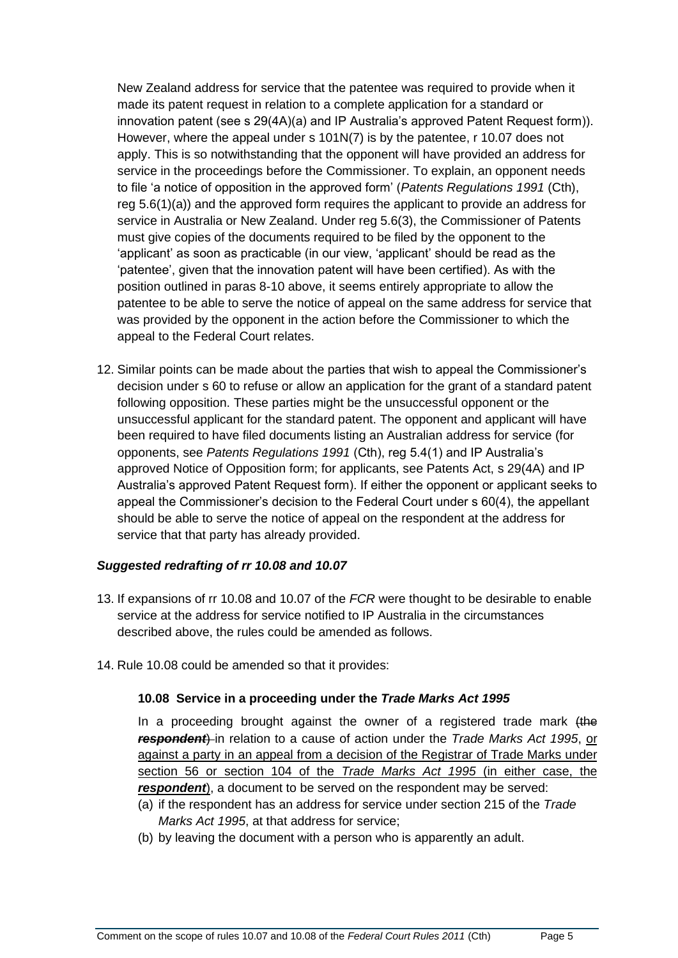New Zealand address for service that the patentee was required to provide when it made its patent request in relation to a complete application for a standard or innovation patent (see s 29(4A)(a) and IP Australia's approved Patent Request form)). However, where the appeal under s 101N(7) is by the patentee, r 10.07 does not apply. This is so notwithstanding that the opponent will have provided an address for service in the proceedings before the Commissioner. To explain, an opponent needs to file 'a notice of opposition in the approved form' (*Patents Regulations 1991* (Cth), reg 5.6(1)(a)) and the approved form requires the applicant to provide an address for service in Australia or New Zealand. Under reg 5.6(3), the Commissioner of Patents must give copies of the documents required to be filed by the opponent to the 'applicant' as soon as practicable (in our view, 'applicant' should be read as the 'patentee', given that the innovation patent will have been certified). As with the position outlined in paras 8-10 above, it seems entirely appropriate to allow the patentee to be able to serve the notice of appeal on the same address for service that was provided by the opponent in the action before the Commissioner to which the appeal to the Federal Court relates.

12. Similar points can be made about the parties that wish to appeal the Commissioner's decision under s 60 to refuse or allow an application for the grant of a standard patent following opposition. These parties might be the unsuccessful opponent or the unsuccessful applicant for the standard patent. The opponent and applicant will have been required to have filed documents listing an Australian address for service (for opponents, see *Patents Regulations 1991* (Cth), reg 5.4(1) and IP Australia's approved Notice of Opposition form; for applicants, see Patents Act, s 29(4A) and IP Australia's approved Patent Request form). If either the opponent or applicant seeks to appeal the Commissioner's decision to the Federal Court under s 60(4), the appellant should be able to serve the notice of appeal on the respondent at the address for service that that party has already provided.

# *Suggested redrafting of rr 10.08 and 10.07*

- 13. If expansions of rr 10.08 and 10.07 of the *FCR* were thought to be desirable to enable service at the address for service notified to IP Australia in the circumstances described above, the rules could be amended as follows.
- 14. Rule 10.08 could be amended so that it provides:

### **10.08 Service in a proceeding under the** *Trade Marks Act 1995*

In a proceeding brought against the owner of a registered trade mark (the *respondent*) in relation to a cause of action under the *Trade Marks Act 1995*, or against a party in an appeal from a decision of the Registrar of Trade Marks under section 56 or section 104 of the *Trade Marks Act 1995* (in either case, the *respondent*), a document to be served on the respondent may be served:

- (a) if the respondent has an address for service under section 215 of the *Trade Marks Act 1995*, at that address for service;
- (b) by leaving the document with a person who is apparently an adult.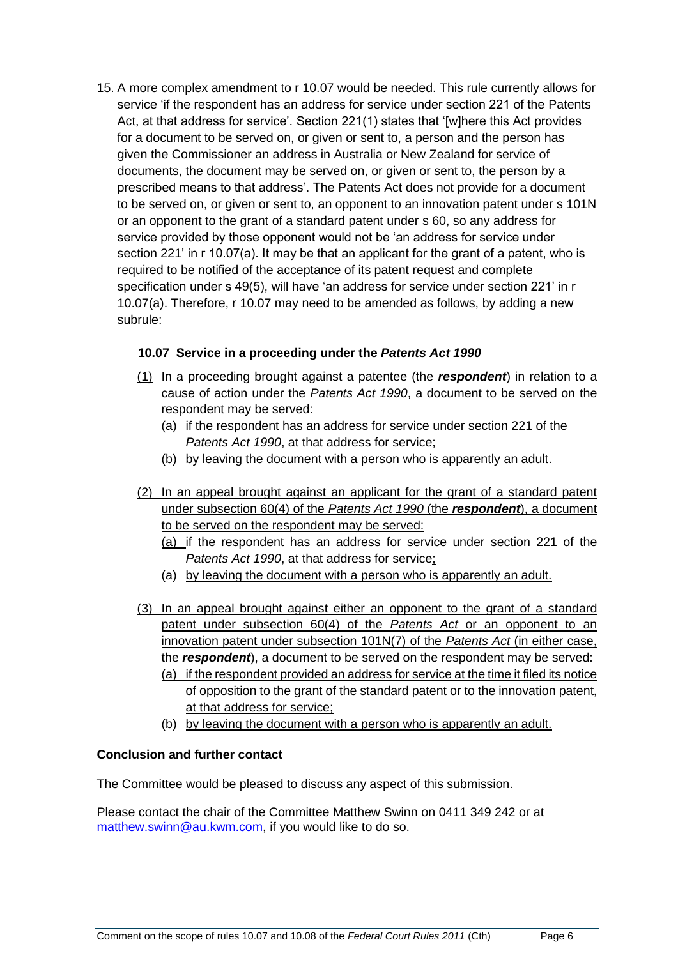15. A more complex amendment to r 10.07 would be needed. This rule currently allows for service 'if the respondent has an address for service under section 221 of the Patents Act, at that address for service'. Section 221(1) states that '[w]here this Act provides for a document to be served on, or given or sent to, a person and the person has given the Commissioner an address in Australia or New Zealand for service of documents, the document may be served on, or given or sent to, the person by a prescribed means to that address'. The Patents Act does not provide for a document to be served on, or given or sent to, an opponent to an innovation patent under s 101N or an opponent to the grant of a standard patent under s 60, so any address for service provided by those opponent would not be 'an address for service under section 221' in r 10.07(a). It may be that an applicant for the grant of a patent, who is required to be notified of the acceptance of its patent request and complete specification under s 49(5), will have 'an address for service under section 221' in r 10.07(a). Therefore, r 10.07 may need to be amended as follows, by adding a new subrule:

## **10.07 Service in a proceeding under the** *Patents Act 1990*

- (1) In a proceeding brought against a patentee (the *respondent*) in relation to a cause of action under the *Patents Act 1990*, a document to be served on the respondent may be served:
	- (a) if the respondent has an address for service under section 221 of the *Patents Act 1990*, at that address for service;
	- (b) by leaving the document with a person who is apparently an adult.
- (2) In an appeal brought against an applicant for the grant of a standard patent under subsection 60(4) of the *Patents Act 1990* (the *respondent*), a document to be served on the respondent may be served:
	- (a) if the respondent has an address for service under section 221 of the *Patents Act 1990*, at that address for service;
	- (a) by leaving the document with a person who is apparently an adult.
- (3) In an appeal brought against either an opponent to the grant of a standard patent under subsection 60(4) of the *Patents Act* or an opponent to an innovation patent under subsection 101N(7) of the *Patents Act* (in either case, the *respondent*), a document to be served on the respondent may be served: (a) if the respondent provided an address for service at the time it filed its notice
	- of opposition to the grant of the standard patent or to the innovation patent, at that address for service;
	- (b) by leaving the document with a person who is apparently an adult.

# **Conclusion and further contact**

The Committee would be pleased to discuss any aspect of this submission.

Please contact the chair of the Committee Matthew Swinn on 0411 349 242 or at [matthew.swinn@au.kwm.com,](mailto:matthew.swinn@au.kwm.com) if you would like to do so.